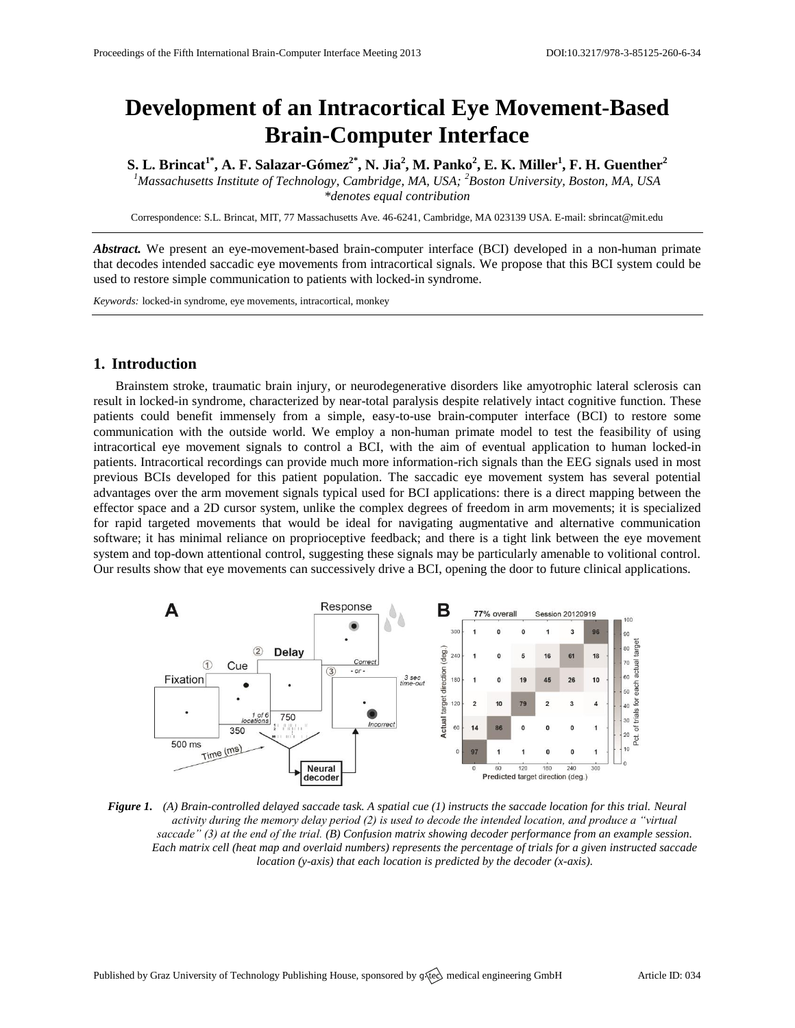# **Development of an Intracortical Eye Movement-Based Brain-Computer Interface**

**S. L. Brincat1\*, A. F. Salazar-Gómez2\*, N. Jia<sup>2</sup> , M. Panko<sup>2</sup> , E. K. Miller<sup>1</sup> , F. H. Guenther<sup>2</sup>**

*<sup>1</sup>Massachusetts Institute of Technology, Cambridge, MA, USA; <sup>2</sup>Boston University, Boston, MA, USA \*denotes equal contribution*

Correspondence: S.L. Brincat, MIT, 77 Massachusetts Ave. 46-6241, Cambridge, MA 023139 USA. E-mail[: sbrincat@mit.edu](mailto:sbrincat@mit.edu)

*Abstract.* We present an eye-movement-based brain-computer interface (BCI) developed in a non-human primate that decodes intended saccadic eye movements from intracortical signals. We propose that this BCI system could be used to restore simple communication to patients with locked-in syndrome.

*Keywords:* locked-in syndrome, eye movements, intracortical, monkey

# **1. Introduction**

Brainstem stroke, traumatic brain injury, or neurodegenerative disorders like amyotrophic lateral sclerosis can result in locked-in syndrome, characterized by near-total paralysis despite relatively intact cognitive function. These patients could benefit immensely from a simple, easy-to-use brain-computer interface (BCI) to restore some communication with the outside world. We employ a non-human primate model to test the feasibility of using intracortical eye movement signals to control a BCI, with the aim of eventual application to human locked-in patients. Intracortical recordings can provide much more information-rich signals than the EEG signals used in most previous BCIs developed for this patient population. The saccadic eye movement system has several potential advantages over the arm movement signals typical used for BCI applications: there is a direct mapping between the effector space and a 2D cursor system, unlike the complex degrees of freedom in arm movements; it is specialized for rapid targeted movements that would be ideal for navigating augmentative and alternative communication software; it has minimal reliance on proprioceptive feedback; and there is a tight link between the eye movement system and top-down attentional control, suggesting these signals may be particularly amenable to volitional control. Our results show that eye movements can successively drive a BCI, opening the door to future clinical applications.



*Figure 1. (A) Brain-controlled delayed saccade task. A spatial cue (1) instructs the saccade location for this trial. Neural activity during the memory delay period (2) is used to decode the intended location, and produce a "virtual saccade" (3) at the end of the trial. (B) Confusion matrix showing decoder performance from an example session. Each matrix cell (heat map and overlaid numbers) represents the percentage of trials for a given instructed saccade location (y-axis) that each location is predicted by the decoder (x-axis).*